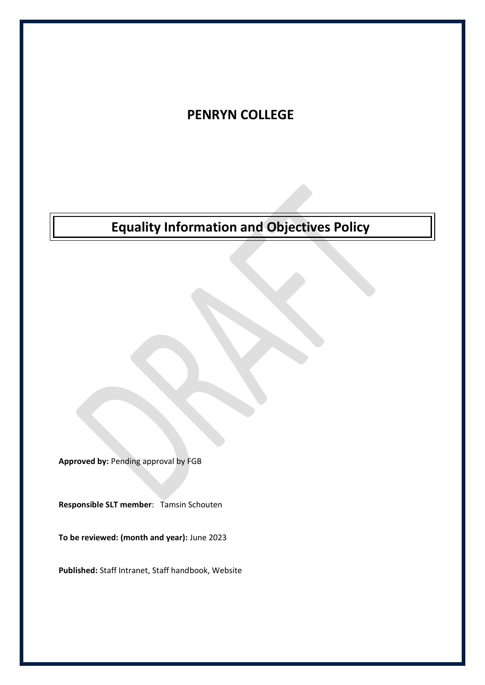# **PENRYN COLLEGE**

# **Equality Information and Objectives Policy**

**Approved by:** Pending approval by FGB

**Responsible SLT member**: Tamsin Schouten

**To be reviewed: (month and year):** June 2023

**Published:** Staff Intranet, Staff handbook, Website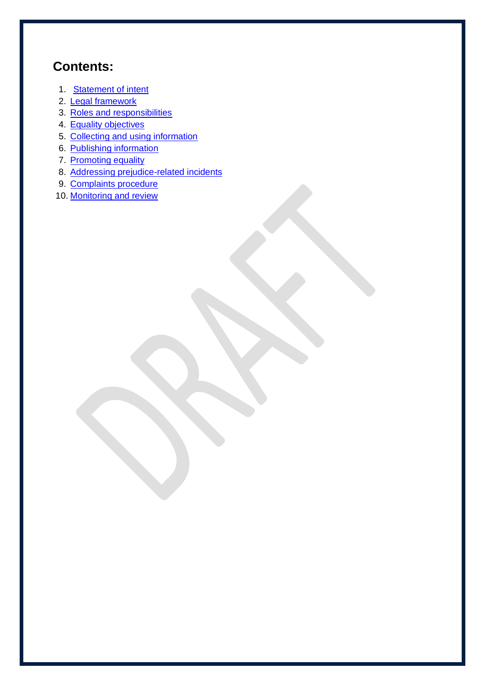## **Contents:**

- 1. [Statement of intent](#page-2-0)
- 2. [Legal framework](#page-3-0)
- 3. Roles [and responsibilities](#page-4-0)
- 4. [Equality objectives](#page-5-0)
- 5. [Collecting and using information](#page-6-0)
- 6. [Publishing information](#page-7-0)
- 7. [Promoting equality](#page-7-1)
- 8. [Addressing prejudice-related incidents](#page-7-2)
- 9. [Complaints procedure](#page-7-3)
- 10. [Monitoring and review](#page-8-0)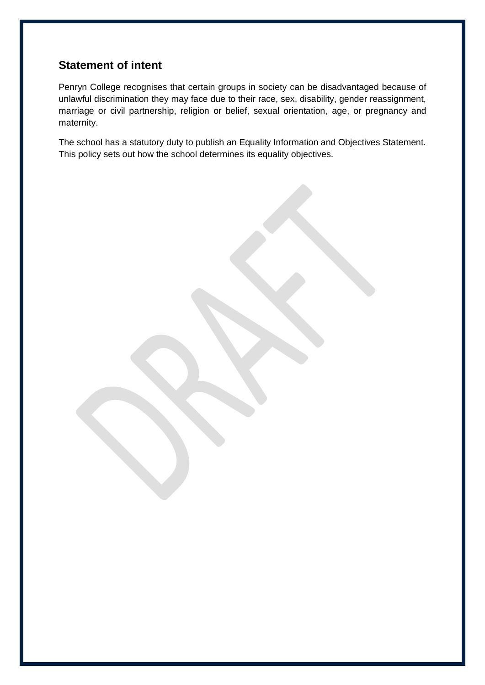### <span id="page-2-0"></span>**Statement of intent**

Penryn College recognises that certain groups in society can be disadvantaged because of unlawful discrimination they may face due to their race, sex, disability, gender reassignment, marriage or civil partnership, religion or belief, sexual orientation, age, or pregnancy and maternity.

The school has a statutory duty to publish an Equality Information and Objectives Statement. This policy sets out how the school determines its equality objectives.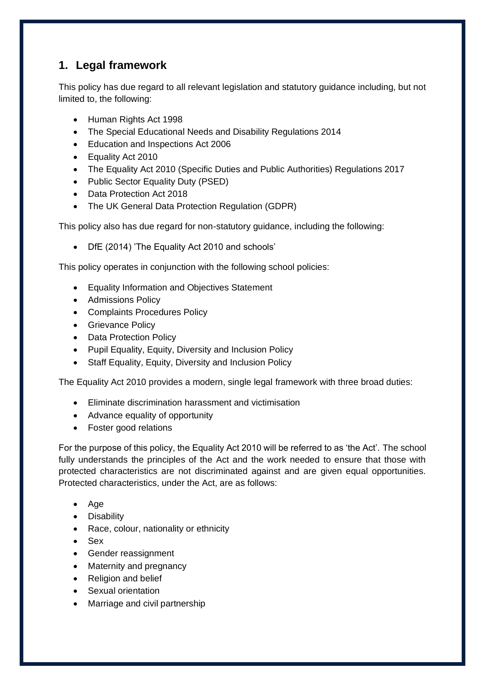### <span id="page-3-0"></span>**1. Legal framework**

This policy has due regard to all relevant legislation and statutory guidance including, but not limited to, the following:

- Human Rights Act 1998
- The Special Educational Needs and Disability Regulations 2014
- Education and Inspections Act 2006
- Equality Act 2010
- The Equality Act 2010 (Specific Duties and Public Authorities) Regulations 2017
- Public Sector Equality Duty (PSED)
- Data Protection Act 2018
- The UK General Data Protection Regulation (GDPR)

This policy also has due regard for non-statutory guidance, including the following:

• DfE (2014) 'The Equality Act 2010 and schools'

This policy operates in conjunction with the following school policies:

- Equality Information and Objectives Statement
- Admissions Policy
- Complaints Procedures Policy
- Grievance Policy
- Data Protection Policy
- Pupil Equality, Equity, Diversity and Inclusion Policy
- Staff Equality, Equity, Diversity and Inclusion Policy

The Equality Act 2010 provides a modern, single legal framework with three broad duties:

- Eliminate discrimination harassment and victimisation
- Advance equality of opportunity
- Foster good relations

For the purpose of this policy, the Equality Act 2010 will be referred to as 'the Act'. The school fully understands the principles of the Act and the work needed to ensure that those with protected characteristics are not discriminated against and are given equal opportunities. Protected characteristics, under the Act, are as follows:

- Age
- Disability
- Race, colour, nationality or ethnicity
- Sex
- Gender reassignment
- Maternity and pregnancy
- Religion and belief
- Sexual orientation
- Marriage and civil partnership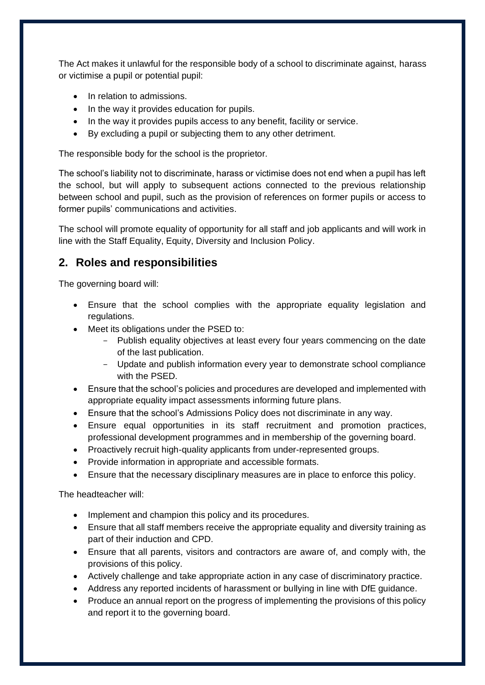The Act makes it unlawful for the responsible body of a school to discriminate against, harass or victimise a pupil or potential pupil:

- In relation to admissions.
- In the way it provides education for pupils.
- In the way it provides pupils access to any benefit, facility or service.
- By excluding a pupil or subjecting them to any other detriment.

The responsible body for the school is the proprietor.

The school's liability not to discriminate, harass or victimise does not end when a pupil has left the school, but will apply to subsequent actions connected to the previous relationship between school and pupil, such as the provision of references on former pupils or access to former pupils' communications and activities.

The school will promote equality of opportunity for all staff and job applicants and will work in line with the Staff Equality, Equity, Diversity and Inclusion Policy.

### <span id="page-4-0"></span>**2. Roles and responsibilities**

The governing board will:

- Ensure that the school complies with the appropriate equality legislation and regulations.
- Meet its obligations under the PSED to:
	- Publish equality objectives at least every four years commencing on the date of the last publication.
	- Update and publish information every year to demonstrate school compliance with the PSED.
- Ensure that the school's policies and procedures are developed and implemented with appropriate equality impact assessments informing future plans.
- Ensure that the school's Admissions Policy does not discriminate in any way.
- Ensure equal opportunities in its staff recruitment and promotion practices, professional development programmes and in membership of the governing board.
- Proactively recruit high-quality applicants from under-represented groups.
- Provide information in appropriate and accessible formats.
- Ensure that the necessary disciplinary measures are in place to enforce this policy.

The headteacher will:

- Implement and champion this policy and its procedures.
- Ensure that all staff members receive the appropriate equality and diversity training as part of their induction and CPD.
- Ensure that all parents, visitors and contractors are aware of, and comply with, the provisions of this policy.
- Actively challenge and take appropriate action in any case of discriminatory practice.
- Address any reported incidents of harassment or bullying in line with DfE guidance.
- Produce an annual report on the progress of implementing the provisions of this policy and report it to the governing board.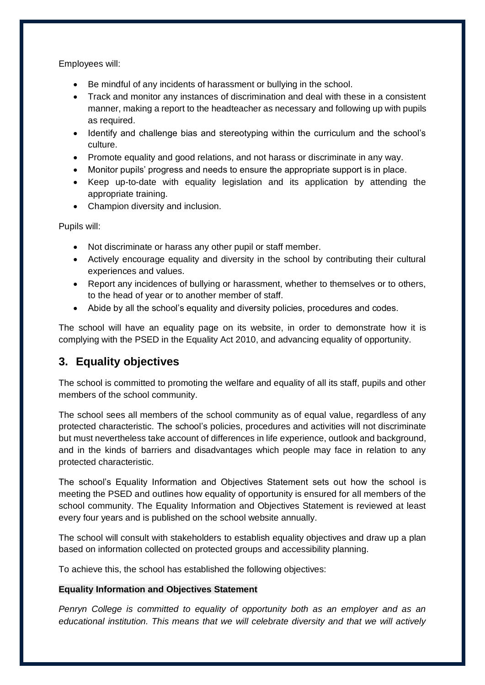Employees will:

- Be mindful of any incidents of harassment or bullying in the school.
- Track and monitor any instances of discrimination and deal with these in a consistent manner, making a report to the headteacher as necessary and following up with pupils as required.
- Identify and challenge bias and stereotyping within the curriculum and the school's culture.
- Promote equality and good relations, and not harass or discriminate in any way.
- Monitor pupils' progress and needs to ensure the appropriate support is in place.
- Keep up-to-date with equality legislation and its application by attending the appropriate training.
- Champion diversity and inclusion.

Pupils will:

- Not discriminate or harass any other pupil or staff member.
- Actively encourage equality and diversity in the school by contributing their cultural experiences and values.
- Report any incidences of bullying or harassment, whether to themselves or to others, to the head of year or to another member of staff.
- Abide by all the school's equality and diversity policies, procedures and codes.

The school will have an equality page on its website, in order to demonstrate how it is complying with the PSED in the Equality Act 2010, and advancing equality of opportunity.

### <span id="page-5-0"></span>**3. Equality objectives**

The school is committed to promoting the welfare and equality of all its staff, pupils and other members of the school community.

The school sees all members of the school community as of equal value, regardless of any protected characteristic. The school's policies, procedures and activities will not discriminate but must nevertheless take account of differences in life experience, outlook and background, and in the kinds of barriers and disadvantages which people may face in relation to any protected characteristic.

The school's Equality Information and Objectives Statement sets out how the school is meeting the PSED and outlines how equality of opportunity is ensured for all members of the school community. The Equality Information and Objectives Statement is reviewed at least every four years and is published on the school website annually.

The school will consult with stakeholders to establish equality objectives and draw up a plan based on information collected on protected groups and accessibility planning.

To achieve this, the school has established the following objectives:

#### **Equality Information and Objectives Statement**

*Penryn College is committed to equality of opportunity both as an employer and as an educational institution. This means that we will celebrate diversity and that we will actively*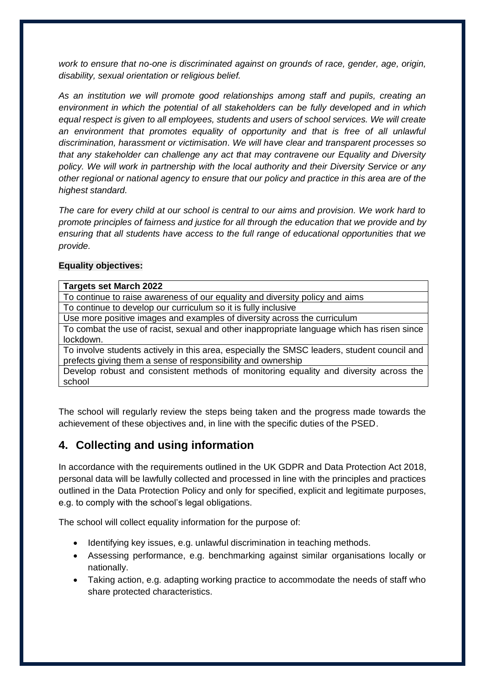*work to ensure that no-one is discriminated against on grounds of race, gender, age, origin, disability, sexual orientation or religious belief.* 

*As an institution we will promote good relationships among staff and pupils, creating an environment in which the potential of all stakeholders can be fully developed and in which equal respect is given to all employees, students and users of school services. We will create an environment that promotes equality of opportunity and that is free of all unlawful discrimination, harassment or victimisation. We will have clear and transparent processes so that any stakeholder can challenge any act that may contravene our Equality and Diversity policy. We will work in partnership with the local authority and their Diversity Service or any other regional or national agency to ensure that our policy and practice in this area are of the highest standard.* 

*The care for every child at our school is central to our aims and provision. We work hard to promote principles of fairness and justice for all through the education that we provide and by ensuring that all students have access to the full range of educational opportunities that we provide.*

#### **Equality objectives:**

| <b>Targets set March 2022</b>                                                               |
|---------------------------------------------------------------------------------------------|
| To continue to raise awareness of our equality and diversity policy and aims                |
| To continue to develop our curriculum so it is fully inclusive                              |
| Use more positive images and examples of diversity across the curriculum                    |
| To combat the use of racist, sexual and other inappropriate language which has risen since  |
| lockdown.                                                                                   |
| To involve students actively in this area, especially the SMSC leaders, student council and |
| prefects giving them a sense of responsibility and ownership                                |
| Develop robust and consistent methods of monitoring equality and diversity across the       |
| school                                                                                      |

The school will regularly review the steps being taken and the progress made towards the achievement of these objectives and, in line with the specific duties of the PSED.

### <span id="page-6-0"></span>**4. Collecting and using information**

In accordance with the requirements outlined in the UK GDPR and Data Protection Act 2018, personal data will be lawfully collected and processed in line with the principles and practices outlined in the Data Protection Policy and only for specified, explicit and legitimate purposes, e.g. to comply with the school's legal obligations.

The school will collect equality information for the purpose of:

- Identifying key issues, e.g. unlawful discrimination in teaching methods.
- Assessing performance, e.g. benchmarking against similar organisations locally or nationally.
- Taking action, e.g. adapting working practice to accommodate the needs of staff who share protected characteristics.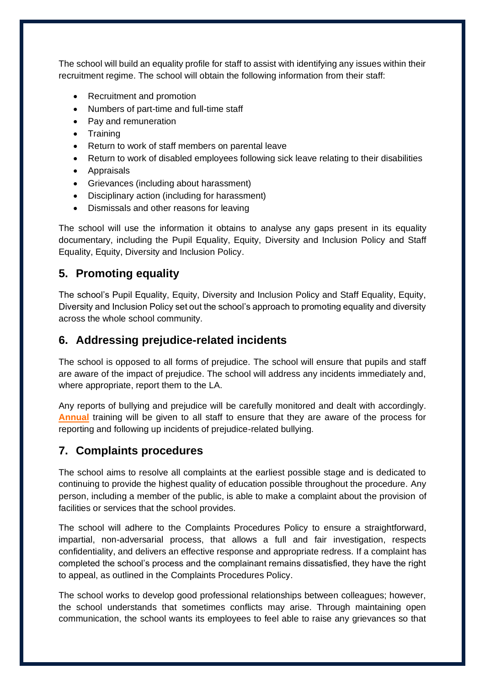The school will build an equality profile for staff to assist with identifying any issues within their recruitment regime. The school will obtain the following information from their staff:

- Recruitment and promotion
- Numbers of part-time and full-time staff
- Pay and remuneration
- Training
- Return to work of staff members on parental leave
- Return to work of disabled employees following sick leave relating to their disabilities
- Appraisals
- Grievances (including about harassment)
- Disciplinary action (including for harassment)
- <span id="page-7-0"></span>• Dismissals and other reasons for leaving

The school will use the information it obtains to analyse any gaps present in its equality documentary, including the Pupil Equality, Equity, Diversity and Inclusion Policy and Staff Equality, Equity, Diversity and Inclusion Policy.

### <span id="page-7-1"></span>**5. Promoting equality**

The school's Pupil Equality, Equity, Diversity and Inclusion Policy and Staff Equality, Equity, Diversity and Inclusion Policy set out the school's approach to promoting equality and diversity across the whole school community.

### <span id="page-7-2"></span>**6. Addressing prejudice-related incidents**

The school is opposed to all forms of prejudice. The school will ensure that pupils and staff are aware of the impact of prejudice. The school will address any incidents immediately and, where appropriate, report them to the LA.

Any reports of bullying and prejudice will be carefully monitored and dealt with accordingly. **Annual** training will be given to all staff to ensure that they are aware of the process for reporting and following up incidents of prejudice-related bullying.

### <span id="page-7-3"></span>**7. Complaints procedures**

The school aims to resolve all complaints at the earliest possible stage and is dedicated to continuing to provide the highest quality of education possible throughout the procedure. Any person, including a member of the public, is able to make a complaint about the provision of facilities or services that the school provides.

The school will adhere to the Complaints Procedures Policy to ensure a straightforward, impartial, non-adversarial process, that allows a full and fair investigation, respects confidentiality, and delivers an effective response and appropriate redress. If a complaint has completed the school's process and the complainant remains dissatisfied, they have the right to appeal, as outlined in the Complaints Procedures Policy.

The school works to develop good professional relationships between colleagues; however, the school understands that sometimes conflicts may arise. Through maintaining open communication, the school wants its employees to feel able to raise any grievances so that